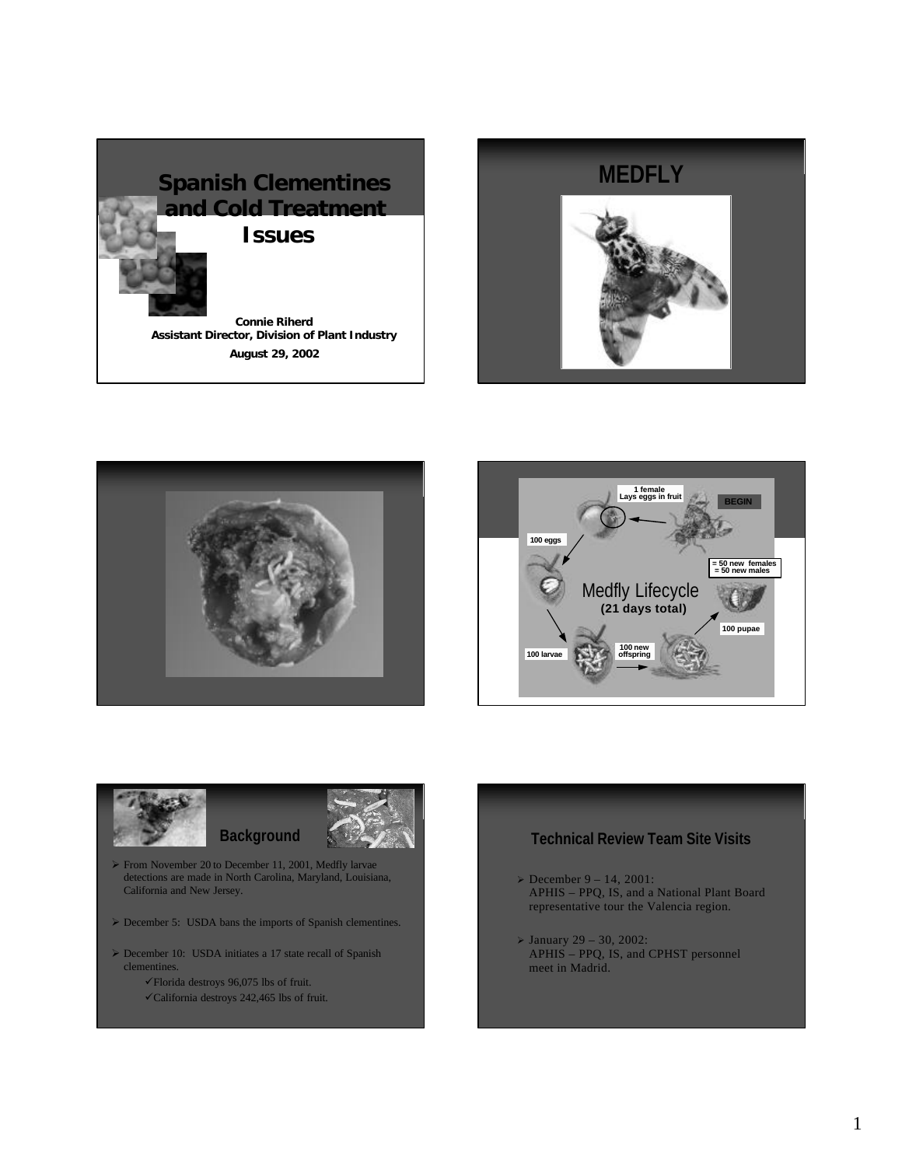











ÿ From November 20 to December 11, 2001, Medfly larvae detections are made in North Carolina, Maryland, Louisiana, California and New Jersey.

**Background**

- ▶ December 5: USDA bans the imports of Spanish clementines.
- $\triangleright$  December 10: USDA initiates a 17 state recall of Spanish clementines.
	- $\checkmark$ Florida destroys 96,075 lbs of fruit.
	- $\checkmark$ California destroys 242,465 lbs of fruit.

## **Technical Review Team Site Visits**

- $\geq$  December 9 14, 2001: APHIS – PPQ, IS, and a National Plant Board representative tour the Valencia region.
- $>$  January 29 30, 2002: APHIS – PPQ, IS, and CPHST personnel meet in Madrid.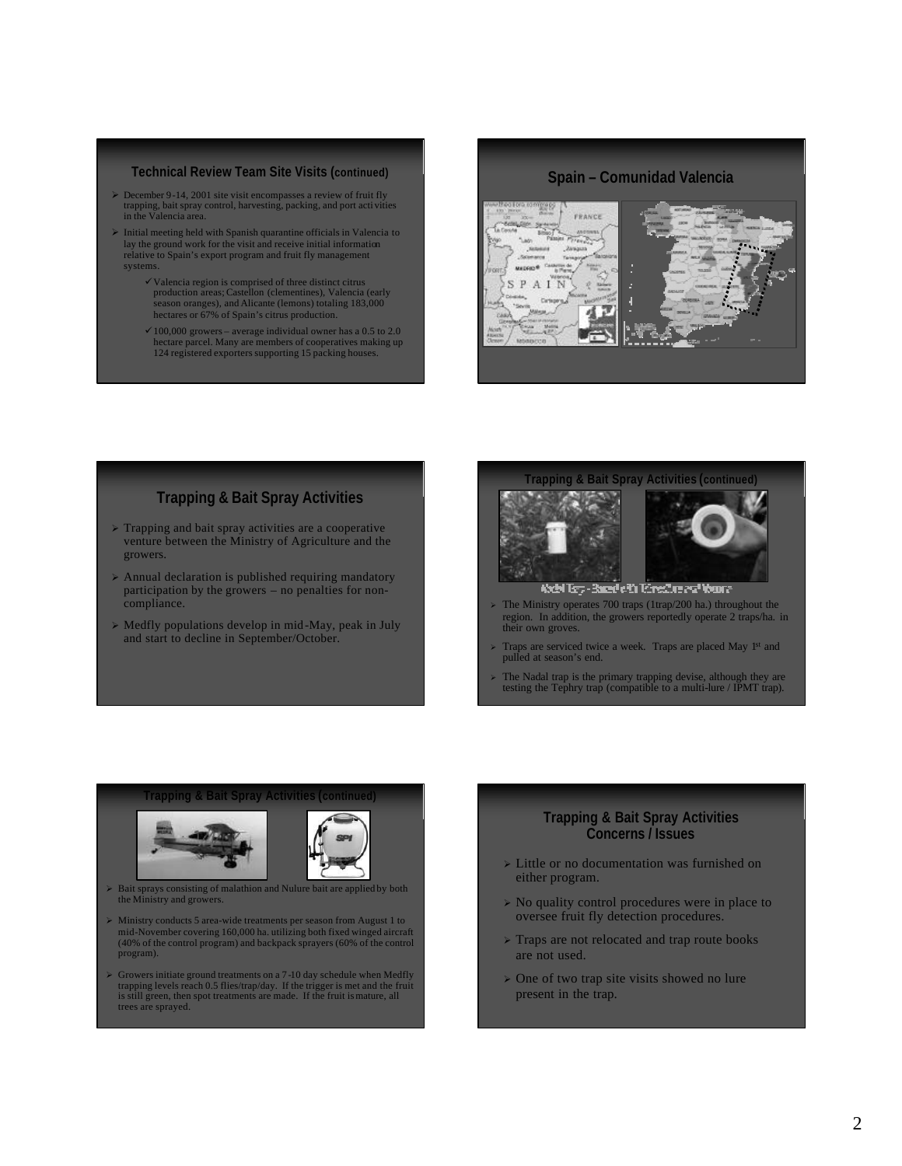## **Technical Review Team Site Visits (continued)**

- $\geq$  December 9-14, 2001 site visit encompasses a review of fruit fly trapping, bait spray control, harvesting, packing, and port activities in the Valencia area.
- ÿ Initial meeting held with Spanish quarantine officials in Valencia to lay the ground work for the visit and receive initial information relative to Spain's export program and fruit fly management systems.
	- ¸Valencia region is comprised of three distinct citrus production areas; Castellon (clementines), Valencia (early season oranges), and Alicante (lemons) totaling 183,000 hectares or 67% of Spain's citrus production.
	- ¸100,000 growers average individual owner has a 0.5 to 2.0 hectare parcel. Many are members of cooperatives making up 124 registered exporters supporting 15 packing houses.

## **Spain – Comunidad Valencia**



## **Trapping & Bait Spray Activities**

- $\triangleright$  Trapping and bait spray activities are a cooperative venture between the Ministry of Agriculture and the growers.
- $\triangleright$  Annual declaration is published requiring mandatory participation by the growers – no penalties for noncompliance.
- $\triangleright$  Medfly populations develop in mid-May, peak in July and start to decline in September/October.



- $\ge$  The Ministry operates 700 traps (1trap/200 ha.) throughout the region. In addition, the growers reportedly operate 2 traps/ha. in their own groves.
- <sup>ÿ</sup> Traps are serviced twice a week. Traps are placed May 1st and pulled at season's end.
- <sup>ÿ</sup> The Nadal trap is the primary trapping devise, although they are testing the Tephry trap (compatible to a multi-lure / IPMT trap).

#### **Trapping & Bait Spray Activities (continued)**





- ÿ Bait sprays consisting of malathion and Nulure bait are applied by both the Ministry and growers.
- ÿ Ministry conducts 5 area-wide treatments per season from August 1 to mid-November covering 160,000 ha. utilizing both fixed winged aircraft (40% of the control program) and backpack sprayers (60% of the control program).
- $\triangleright$  Growers initiate ground treatments on a 7-10 day schedule when Medfly trapping levels reach 0.5 flies/trap/day. If the trigger is met and the fruit is still green, then spot treatments are made. If the fruit is mat trees are sprayed.

## **Trapping & Bait Spray Activities Concerns / Issues**

- $\triangleright$  Little or no documentation was furnished on either program.
- $\triangleright$  No quality control procedures were in place to oversee fruit fly detection procedures.
- $\triangleright$  Traps are not relocated and trap route books are not used.
- $\geq$  One of two trap site visits showed no lure present in the trap.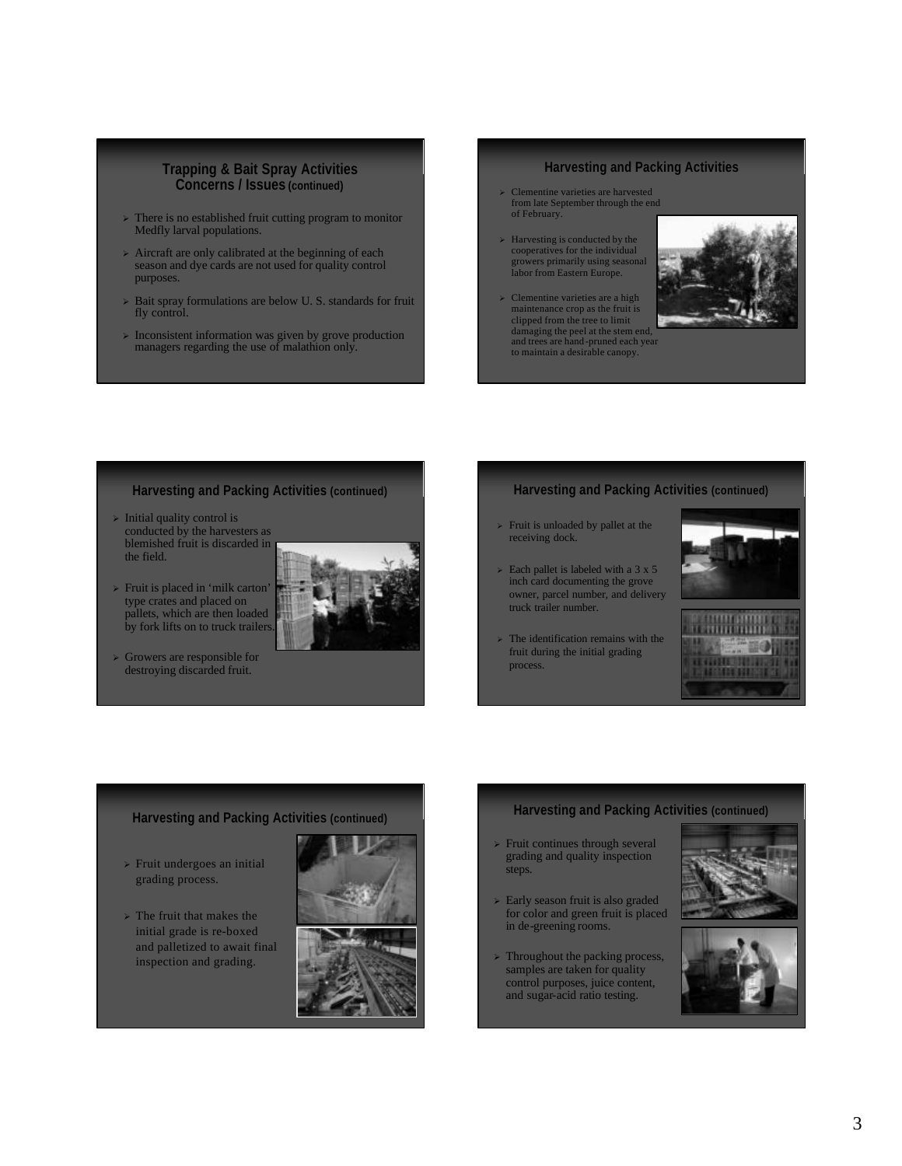### **Trapping & Bait Spray Activities Concerns / Issues (continued)**

- $\triangleright$  There is no established fruit cutting program to monitor Medfly larval populations.
- $\triangleright$  Aircraft are only calibrated at the beginning of each season and dye cards are not used for quality control purposes.
- $\triangleright$  Bait spray formulations are below U. S. standards for fruit fly control.
- $\triangleright$  Inconsistent information was given by grove production managers regarding the use of malathion only.

## **Harvesting and Packing Activities**

- ÿ Clementine varieties are harvested from late September through the end of February.
- $\geq$  Harvesting is conducted by the cooperatives for the individual growers primarily using seasonal labor from Eastern Europe.
- $\geq$  Clementine varieties are a high maintenance crop as the fruit is clipped from the tree to limit damaging the peel at the stem end, and trees are hand-pruned each year to maintain a desirable canopy.



## **Harvesting and Packing Activities (continued)**

- $\triangleright$  Initial quality control is conducted by the harvesters as blemished fruit is discarded in the field.
- > Fruit is placed in 'milk carton' type crates and placed on pallets, which are then loaded by fork lifts on to truck trailers.
- $\triangleright$  Growers are responsible for destroying discarded fruit.

## **Harvesting and Packing Activities (continued)**

- $\triangleright$  Fruit is unloaded by pallet at the receiving dock.
- $\ge$  Each pallet is labeled with a 3 x 5 inch card documenting the grove owner, parcel number, and delivery truck trailer number.
- $\ge$  The identification remains with the fruit during the initial grading process.



## **Harvesting and Packing Activities (continued)**

- $\triangleright$  Fruit undergoes an initial grading process.
- $\ge$  The fruit that makes the initial grade is re-boxed and palletized to await final inspection and grading.



## **Harvesting and Packing Activities (continued)**

- $\triangleright$  Fruit continues through several grading and quality inspection steps.
- $\geq$  Early season fruit is also graded for color and green fruit is placed in de-greening rooms.
- $\triangleright$  Throughout the packing process, samples are taken for quality control purposes, juice content, and sugar-acid ratio testing.



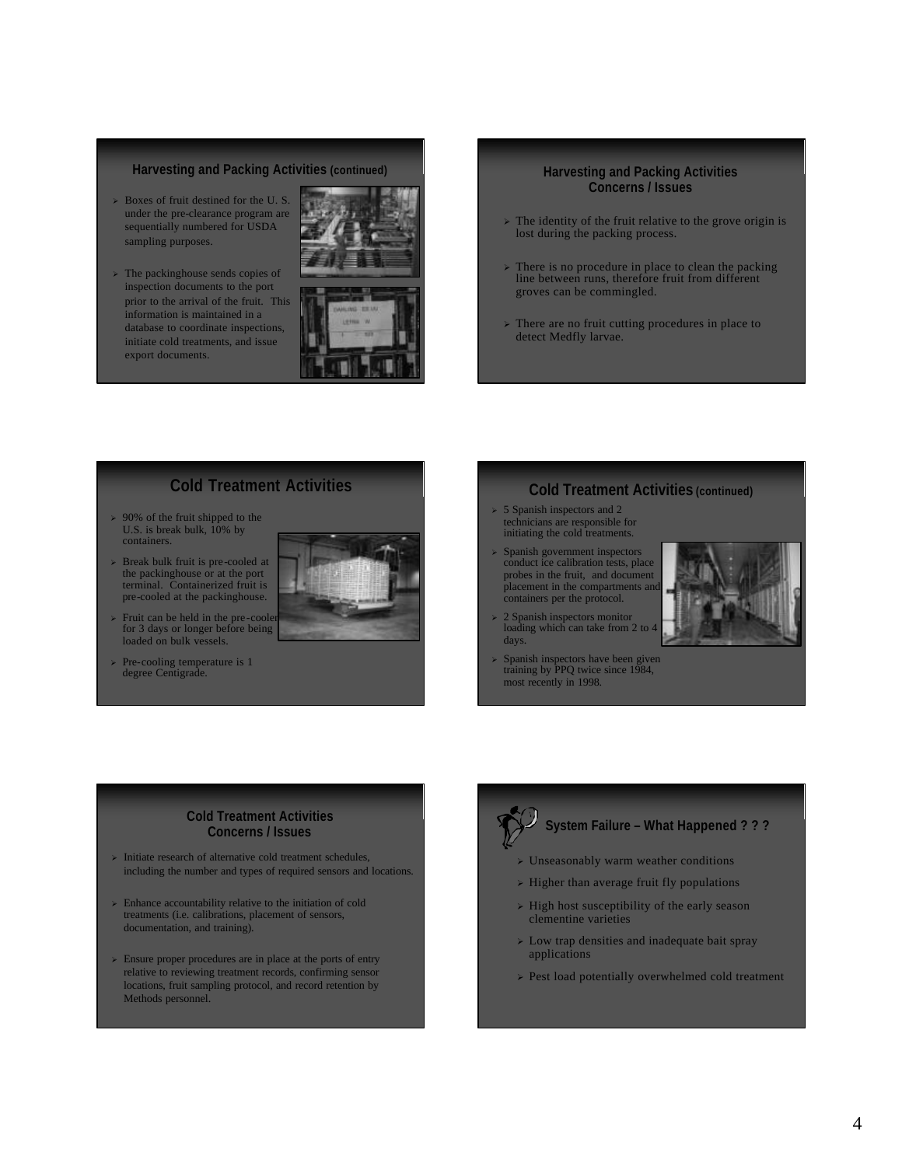#### **Harvesting and Packing Activities (continued)**

- $\geq$  Boxes of fruit destined for the U.S. under the pre-clearance program are sequentially numbered for USDA sampling purposes.
- $\triangleright$  The packinghouse sends copies of inspection documents to the port prior to the arrival of the fruit. This information is maintained in a database to coordinate inspections, initiate cold treatments, and issue export documents.



#### **Harvesting and Packing Activities Concerns / Issues**

- $\ge$  The identity of the fruit relative to the grove origin is lost during the packing process.
- $\triangleright$  There is no procedure in place to clean the packing line between runs, therefore fruit from different groves can be commingled.
- $\triangleright$  There are no fruit cutting procedures in place to detect Medfly larvae.

## **Cold Treatment Activities**

- $\ge$  90% of the fruit shipped to the U.S. is break bulk, 10% by containers.
- $\ge$  Break bulk fruit is pre-cooled at the packinghouse or at the port terminal. Containerized fruit is pre-cooled at the packinghouse.
- $\triangleright$  Fruit can be held in the pre-cooler for 3 days or longer before being loaded on bulk vessels.
- <sup>ÿ</sup> Pre-cooling temperature is 1 degree Centigrade.

## **Cold Treatment Activities (continued)**

- $\geq 5$  Spanish inspectors and 2 technicians are responsible for initiating the cold treatments.
- <sup>ÿ</sup> Spanish government inspectors conduct ice calibration tests, place probes in the fruit, and document placement in the compartments and containers per the protocol.
- 2 Spanish inspectors monitor loading which can take from 2 to days.
- <sup>ÿ</sup> Spanish inspectors have been given training by PPQ twice since 1984, most recently in 1998.



### **Cold Treatment Activities Concerns / Issues**

- $\triangleright$  Initiate research of alternative cold treatment schedules, including the number and types of required sensors and locations.
- $\triangleright$  Enhance accountability relative to the initiation of cold treatments (i.e. calibrations, placement of sensors, documentation, and training).
- $\triangleright$  Ensure proper procedures are in place at the ports of entry relative to reviewing treatment records, confirming sensor locations, fruit sampling protocol, and record retention by Methods personnel.

# **System Failure – What Happened ? ? ?**

- $\triangleright$  Unseasonably warm weather conditions
- $\geq$  Higher than average fruit fly populations
- $\triangleright$  High host susceptibility of the early season clementine varieties
- $\triangleright$  Low trap densities and inadequate bait spray applications
- $\ge$  Pest load potentially overwhelmed cold treatment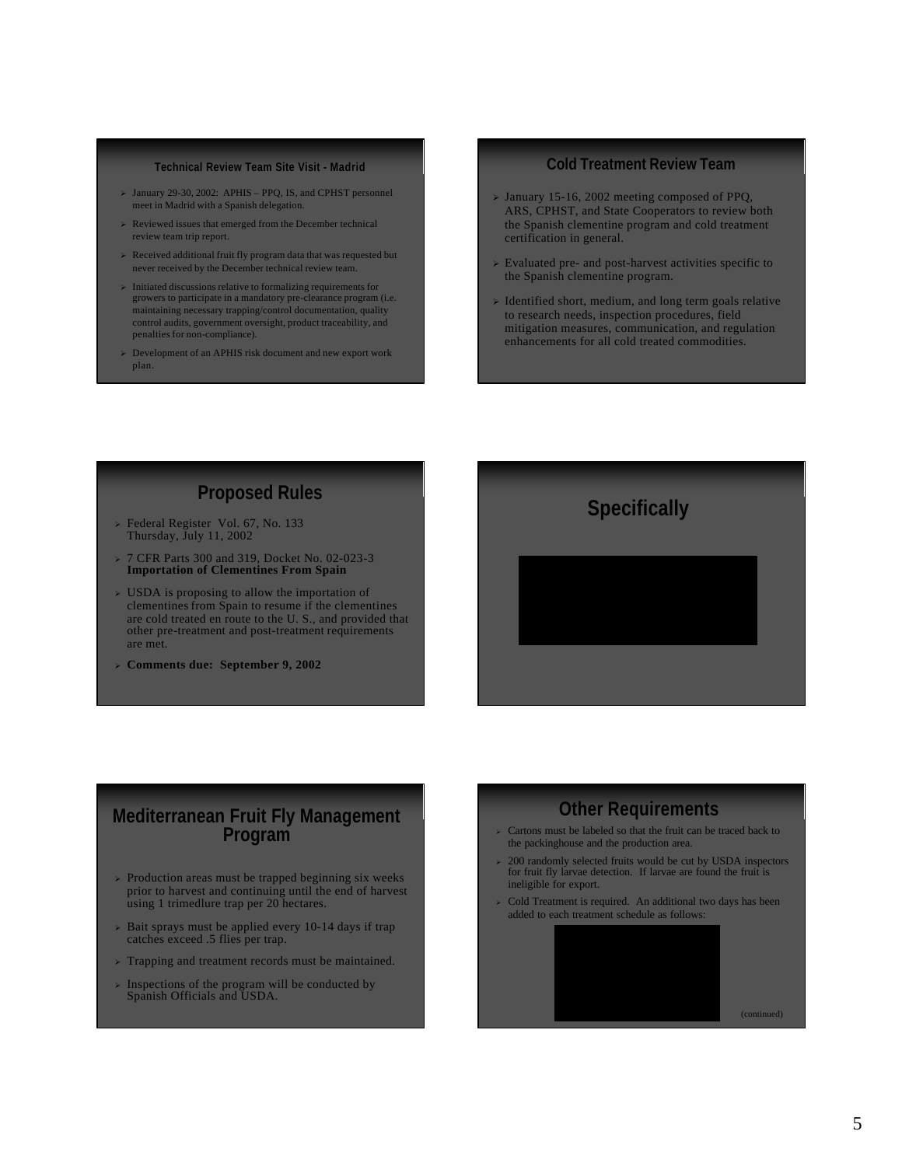#### **Technical Review Team Site Visit - Madrid**

- $\geq$  January 29-30, 2002: APHIS PPQ, IS, and CPHST personnel meet in Madrid with a Spanish delegation.
- $\triangleright$  Reviewed issues that emerged from the December technical review team trip report.
- $\triangleright$  Received additional fruit fly program data that was requested but never received by the December technical review team.
- $\triangleright$  Initiated discussions relative to formalizing requirements for growers to participate in a mandatory pre-clearance program (i.e. maintaining necessary trapping/control documentation, quality control audits, government oversight, product traceability, and penalties for non-compliance).
- $\geq$  Development of an APHIS risk document and new export work plan.

### **Cold Treatment Review Team**

- $\geq$  January 15-16, 2002 meeting composed of PPQ, ARS, CPHST, and State Cooperators to review both the Spanish clementine program and cold treatment certification in general.
- $\triangleright$  Evaluated pre- and post-harvest activities specific to the Spanish clementine program.
- $\triangleright$  Identified short, medium, and long term goals relative to research needs, inspection procedures, field mitigation measures, communication, and regulation enhancements for all cold treated commodities.

**Specifically**

# **Proposed Rules**

- <sup>ÿ</sup> Federal Register Vol. 67, No. 133 Thursday, July 11, 2002
- <sup>ÿ</sup> 7 CFR Parts 300 and 319, Docket No. 02-023-3 **Importation of Clementines From Spain**
- $\triangleright$  USDA is proposing to allow the importation of clementines from Spain to resume if the clementines are cold treated en route to the U. S., and provided that other pre-treatment and post-treatment requirements are met.
- <sup>ÿ</sup> **Comments due: September 9, 2002**

## **Mediterranean Fruit Fly Management Program**

- $\triangleright$  Production areas must be trapped beginning six weeks prior to harvest and continuing until the end of harvest using 1 trimedlure trap per 20 hectares.
- $\ge$  Bait sprays must be applied every 10-14 days if trap catches exceed .5 flies per trap.
- $\triangleright$  Trapping and treatment records must be maintained.
- Inspections of the program will be conducted by Spanish Officials and USDA.

# **Other Requirements**

- $\triangleright$  Cartons must be labeled so that the fruit can be traced back to the packinghouse and the production area.
- <sup>ÿ</sup> 200 randomly selected fruits would be cut by USDA inspectors for fruit fly larvae detection. If larvae are found the fruit is ineligible for export.
- $\triangleright$  Cold Treatment is required. An additional two days has been added to each treatment schedule as follows:

(continued)